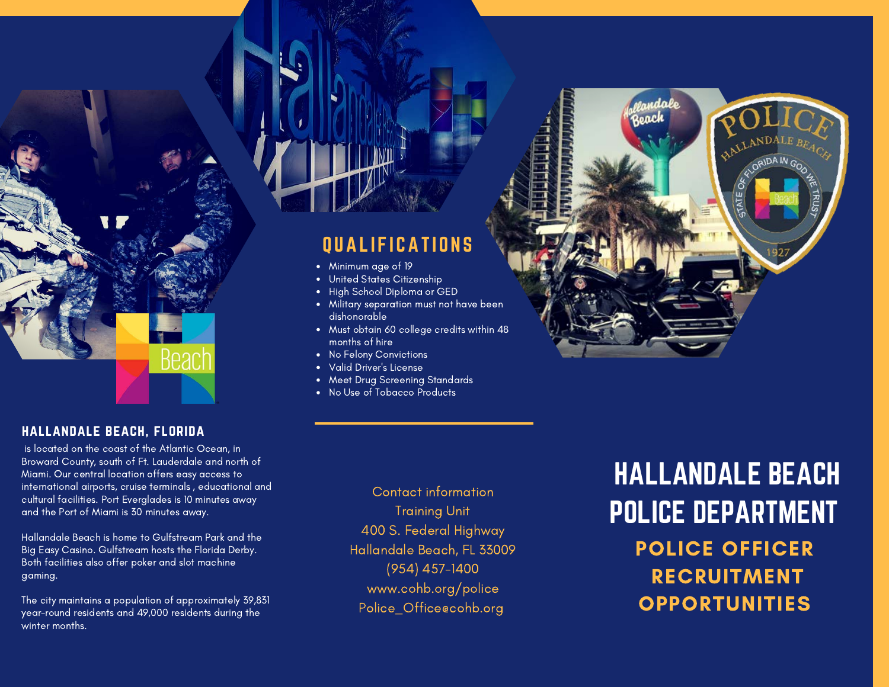

#### hallandale beach, florida

 is located on the coast of the Atlantic Ocean, in Broward County, south of Ft. Lauderdale and north of Miami. Our central location offers easy access to international airports, cruise terminals , educational and cultural facilities. Port Everglades is 10 minutes away and the Port of Miami is 30 minutes away.

Hallandale Beach is home to Gulfstream Park and the Big Easy Casino. Gulfstream hosts the Florida Derby. Both facilities also offer poker and slot machine gaming.

The city maintains a population of approximately 39,831 year-round residents and 49,000 residents during the winter months.

### QUALIFICATIONS

- Minimum age of 19
- United States Citizenship
- High School Diploma or GED
- Military separation must not have been dishonorable
- Must obtain 60 college credits within 48 months of hire
- No Felony Convictions
- Valid Driver's License
- Meet Drug Screening Standards
- No Use of Tobacco Products

Contact information Training Unit 400 S. Federal Highway Hallandale Beach, FL 33009 (954) 457-1400 www.cohb.org/police Police\_Office@cohb.org

HALLANDALE BEACH POLICE DEPARTMENT POLICE OFFICER RECRUITMENT OPPORTUNITIES

roach